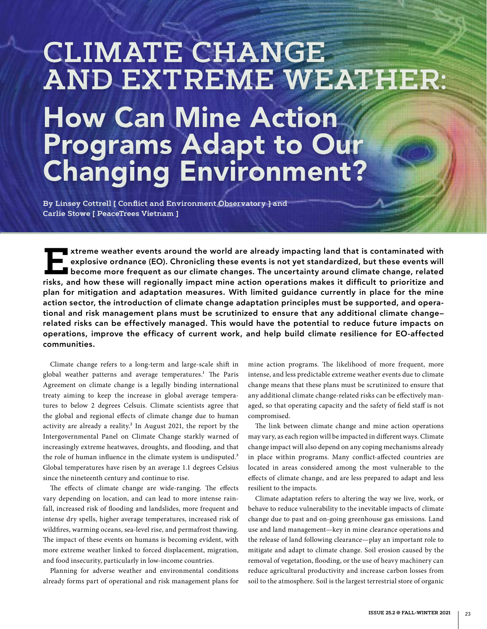# **CLIMATE CHANGE AND EXTREME WEATHER:** How Can Mine Action Programs Adapt to Our Changing Environment?

**By Linsey Cottrell [ Conflict and Environment Observatory ] and Carlie Stowe [ PeaceTrees Vietnam ]**

**Extreme weather events around the world are already impacting land that is contaminated with<br>
explosive ordnance (EO). Chronicling these events is not yet standardized, but these events will<br>
become more frequent as our c** explosive ordnance (EO). Chronicling these events is not yet standardized, but these events will  $\blacksquare$  become more frequent as our climate changes. The uncertainty around climate change, related risks, and how these will regionally impact mine action operations makes it difficult to prioritize and plan for mitigation and adaptation measures. With limited guidance currently in place for the mine action sector, the introduction of climate change adaptation principles must be supported, and operational and risk management plans must be scrutinized to ensure that any additional climate change– related risks can be effectively managed. This would have the potential to reduce future impacts on operations, improve the efficacy of current work, and help build climate resilience for EO-affected communities.

Climate change refers to a long-term and large-scale shift in global weather patterns and average temperatures.<sup>1</sup> The Paris Agreement on climate change is a legally binding international treaty aiming to keep the increase in global average temperatures to below 2 degrees Celsuis. Climate scientists agree that the global and regional effects of climate change due to human activity are already a reality.<sup>2</sup> In August 2021, the report by the Intergovernmental Panel on Climate Change starkly warned of increasingly extreme heatwaves, droughts, and flooding, and that the role of human influence in the climate system is undisputed.<sup>3</sup> Global temperatures have risen by an average 1.1 degrees Celsius since the nineteenth century and continue to rise.

The effects of climate change are wide-ranging. The effects vary depending on location, and can lead to more intense rainfall, increased risk of flooding and landslides, more frequent and intense dry spells, higher average temperatures, increased risk of wildfires, warming oceans, sea-level rise, and permafrost thawing. The impact of these events on humans is becoming evident, with more extreme weather linked to forced displacement, migration, and food insecurity, particularly in low-income countries.

Planning for adverse weather and environmental conditions already forms part of operational and risk management plans for

mine action programs. The likelihood of more frequent, more intense, and less predictable extreme weather events due to climate change means that these plans must be scrutinized to ensure that any additional climate change-related risks can be effectively managed, so that operating capacity and the safety of field staff is not compromised.

The link between climate change and mine action operations may vary, as each region will be impacted in different ways. Climate change impact will also depend on any coping mechanisms already in place within programs. Many conflict-affected countries are located in areas considered among the most vulnerable to the effects of climate change, and are less prepared to adapt and less resilient to the impacts.

Climate adaptation refers to altering the way we live, work, or behave to reduce vulnerability to the inevitable impacts of climate change due to past and on-going greenhouse gas emissions. Land use and land management—key in mine clearance operations and the release of land following clearance—play an important role to mitigate and adapt to climate change. Soil erosion caused by the removal of vegetation, flooding, or the use of heavy machinery can reduce agricultural productivity and increase carbon losses from soil to the atmosphere. Soil is the largest terrestrial store of organic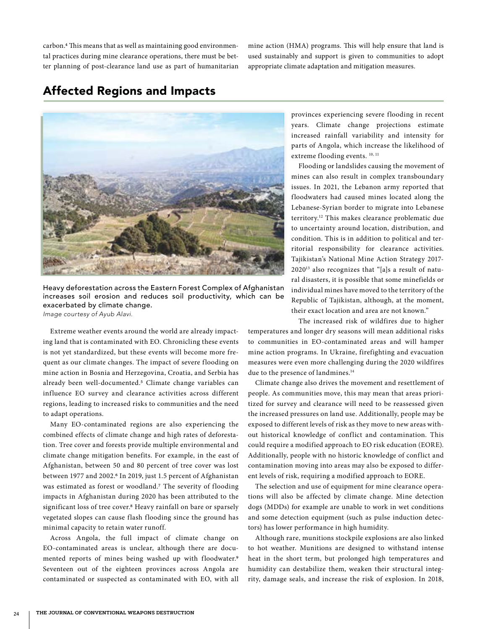carbon.4 This means that as well as maintaining good environmental practices during mine clearance operations, there must be better planning of post-clearance land use as part of humanitarian

mine action (HMA) programs. This will help ensure that land is used sustainably and support is given to communities to adopt appropriate climate adaptation and mitigation measures.

# Affected Regions and Impacts



Heavy deforestation across the Eastern Forest Complex of Afghanistan increases soil erosion and reduces soil productivity, which can be exacerbated by climate change.

*Image courtesy of Ayub Alavi.*

Extreme weather events around the world are already impacting land that is contaminated with EO. Chronicling these events is not yet standardized, but these events will become more frequent as our climate changes. The impact of severe flooding on mine action in Bosnia and Herzegovina, Croatia, and Serbia has already been well-documented.5 Climate change variables can influence EO survey and clearance activities across different regions, leading to increased risks to communities and the need to adapt operations.

Many EO-contaminated regions are also experiencing the combined effects of climate change and high rates of deforestation. Tree cover and forests provide multiple environmental and climate change mitigation benefits. For example, in the east of Afghanistan, between 50 and 80 percent of tree cover was lost between 1977 and 2002.6 In 2019, just 1.5 percent of Afghanistan was estimated as forest or woodland.7 The severity of flooding impacts in Afghanistan during 2020 has been attributed to the significant loss of tree cover.<sup>8</sup> Heavy rainfall on bare or sparsely vegetated slopes can cause flash flooding since the ground has minimal capacity to retain water runoff.

Across Angola, the full impact of climate change on EO-contaminated areas is unclear, although there are documented reports of mines being washed up with floodwater.9 Seventeen out of the eighteen provinces across Angola are contaminated or suspected as contaminated with EO, with all provinces experiencing severe flooding in recent years. Climate change projections estimate increased rainfall variability and intensity for parts of Angola, which increase the likelihood of extreme flooding events. 10, 11

Flooding or landslides causing the movement of mines can also result in complex transboundary issues. In 2021, the Lebanon army reported that floodwaters had caused mines located along the Lebanese-Syrian border to migrate into Lebanese territory.12 This makes clearance problematic due to uncertainty around location, distribution, and condition. This is in addition to political and territorial responsibility for clearance activities. Tajikistan's National Mine Action Strategy 2017- 202013 also recognizes that "[a]s a result of natural disasters, it is possible that some minefields or individual mines have moved to the territory of the Republic of Tajikistan, although, at the moment, their exact location and area are not known."

The increased risk of wildfires due to higher

temperatures and longer dry seasons will mean additional risks to communities in EO-contaminated areas and will hamper mine action programs. In Ukraine, firefighting and evacuation measures were even more challenging during the 2020 wildfires due to the presence of landmines.<sup>14</sup>

Climate change also drives the movement and resettlement of people. As communities move, this may mean that areas prioritized for survey and clearance will need to be reassessed given the increased pressures on land use. Additionally, people may be exposed to different levels of risk as they move to new areas without historical knowledge of conflict and contamination. This could require a modified approach to EO risk education (EORE). Additionally, people with no historic knowledge of conflict and contamination moving into areas may also be exposed to different levels of risk, requiring a modified approach to EORE.

The selection and use of equipment for mine clearance operations will also be affected by climate change. Mine detection dogs (MDDs) for example are unable to work in wet conditions and some detection equipment (such as pulse induction detectors) has lower performance in high humidity.

Although rare, munitions stockpile explosions are also linked to hot weather. Munitions are designed to withstand intense heat in the short term, but prolonged high temperatures and humidity can destabilize them, weaken their structural integrity, damage seals, and increase the risk of explosion. In 2018,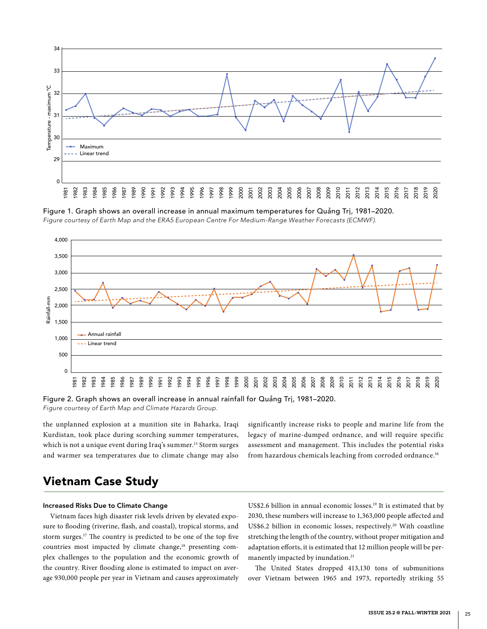

Figure 1. Graph shows an overall increase in annual maximum temperatures for Quảng Trị, 1981–2020. *Figure courtesy of Earth Map and the ERA5 European Centre For Medium-Range Weather Forecasts (ECMWF).*



Figure 2. Graph shows an overall increase in annual rainfall for Quảng Trị, 1981–2020. *Figure courtesy of Earth Map and Climate Hazards Group.*

the unplanned explosion at a munition site in Baharka, Iraqi Kurdistan, took place during scorching summer temperatures, which is not a unique event during Iraq's summer.<sup>15</sup> Storm surges and warmer sea temperatures due to climate change may also significantly increase risks to people and marine life from the legacy of marine-dumped ordnance, and will require specific assessment and management. This includes the potential risks from hazardous chemicals leaching from corroded ordnance.<sup>16</sup>

# Vietnam Case Study

# Increased Risks Due to Climate Change

Vietnam faces high disaster risk levels driven by elevated exposure to flooding (riverine, flash, and coastal), tropical storms, and storm surges.17 The country is predicted to be one of the top five countries most impacted by climate change,<sup>18</sup> presenting complex challenges to the population and the economic growth of the country. River flooding alone is estimated to impact on average 930,000 people per year in Vietnam and causes approximately

US\$2.6 billion in annual economic losses.<sup>19</sup> It is estimated that by 2030, these numbers will increase to 1,363,000 people affected and US\$6.2 billion in economic losses, respectively.<sup>20</sup> With coastline stretching the length of the country, without proper mitigation and adaptation efforts, it is estimated that 12 million people will be permanently impacted by inundation.<sup>21</sup>

The United States dropped 413,130 tons of submunitions over Vietnam between 1965 and 1973, reportedly striking 55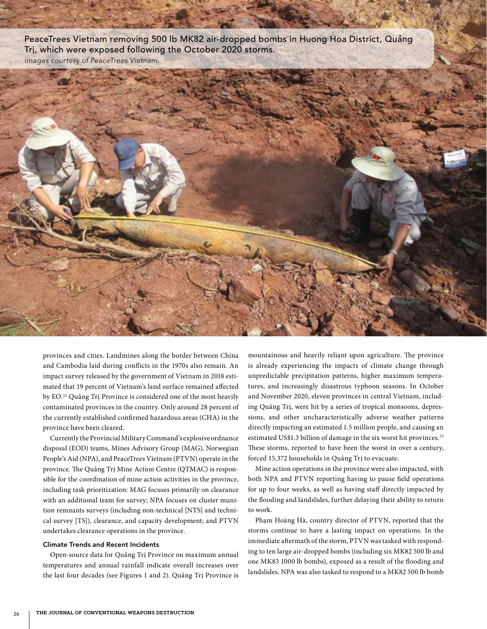PeaceTrees Vietnam removing 500 lb MK82 air-dropped bombs in Huong Hoa District, Quảng Trị, which were exposed following the October 2020 storms. *Images courtesy of PeaceTrees Vietnam.*



provinces and cities. Landmines along the border between China and Cambodia laid during conflicts in the 1970s also remain. An impact survey released by the government of Vietnam in 2018 estimated that 19 percent of Vietnam's land surface remained affected by EO.22 Quảng Trị Province is considered one of the most heavily contaminated provinces in the country. Only around 28 percent of the currently established confirmed hazardous areas (CHA) in the province have been cleared.

Currently the Provincial Military Command's explosive ordnance disposal (EOD) teams, Mines Advisory Group (MAG), Norwegian People's Aid (NPA), and PeaceTrees Vietnam (PTVN) operate in the province. The Quảng Trị Mine Action Centre (QTMAC) is responsible for the coordination of mine action activities in the province, including task prioritization: MAG focuses primarily on clearance with an additional team for survey; NPA focuses on cluster munition remnants surveys (including non-technical [NTS] and technical survey [TS]), clearance, and capacity development; and PTVN undertakes clearance operations in the province.

#### Climate Trends and Recent Incidents

Open-source data for Quảng Trị Province on maximum annual temperatures and annual rainfall indicate overall increases over the last four decades (see Figures 1 and 2). Quảng Trị Province is mountainous and heavily reliant upon agriculture. The province is already experiencing the impacts of climate change through unpredictable precipitation patterns, higher maximum temperatures, and increasingly disastrous typhoon seasons. In October and November 2020, eleven provinces in central Vietnam, including Quảng Trị, were hit by a series of tropical monsoons, depressions, and other uncharacteristically adverse weather patterns directly impacting an estimated 1.5 million people, and causing an estimated US\$1.3 billion of damage in the six worst hit provinces.<sup>23</sup> These storms, reported to have been the worst in over a century, forced 15,372 households in Quảng Trị to evacuate.

Mine action operations in the province were also impacted, with both NPA and PTVN reporting having to pause field operations for up to four weeks, as well as having staff directly impacted by the flooding and landslides, further delaying their ability to return to work.

Phạm Hoàng Hà, country director of PTVN, reported that the storms continue to have a lasting impact on operations. In the immediate aftermath of the storm, PTVN was tasked with responding to ten large air-dropped bombs (including six MK82 500 lb and one MK83 1000 lb bombs), exposed as a result of the flooding and landslides. NPA was also tasked to respond to a MK82 500 lb bomb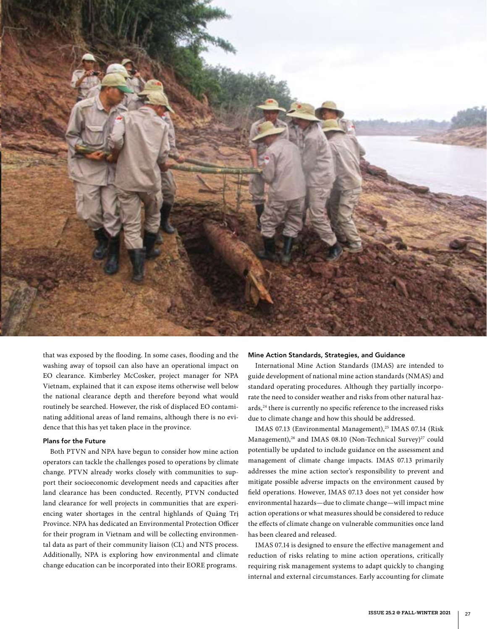

that was exposed by the flooding. In some cases, flooding and the washing away of topsoil can also have an operational impact on EO clearance. Kimberley McCosker, project manager for NPA Vietnam, explained that it can expose items otherwise well below the national clearance depth and therefore beyond what would routinely be searched. However, the risk of displaced EO contaminating additional areas of land remains, although there is no evidence that this has yet taken place in the province.

## Plans for the Future

Both PTVN and NPA have begun to consider how mine action operators can tackle the challenges posed to operations by climate change. PTVN already works closely with communities to support their socioeconomic development needs and capacities after land clearance has been conducted. Recently, PTVN conducted land clearance for well projects in communities that are experiencing water shortages in the central highlands of Quảng Trị Province. NPA has dedicated an Environmental Protection Officer for their program in Vietnam and will be collecting environmental data as part of their community liaison (CL) and NTS process. Additionally, NPA is exploring how environmental and climate change education can be incorporated into their EORE programs.

#### Mine Action Standards, Strategies, and Guidance

International Mine Action Standards (IMAS) are intended to guide development of national mine action standards (NMAS) and standard operating procedures. Although they partially incorporate the need to consider weather and risks from other natural hazards,<sup>24</sup> there is currently no specific reference to the increased risks due to climate change and how this should be addressed.

IMAS 07.13 (Environmental Management),<sup>25</sup> IMAS 07.14 (Risk Management),<sup>26</sup> and IMAS 08.10 (Non-Technical Survey)<sup>27</sup> could potentially be updated to include guidance on the assessment and management of climate change impacts. IMAS 07.13 primarily addresses the mine action sector's responsibility to prevent and mitigate possible adverse impacts on the environment caused by field operations. However, IMAS 07.13 does not yet consider how environmental hazards—due to climate change—will impact mine action operations or what measures should be considered to reduce the effects of climate change on vulnerable communities once land has been cleared and released.

IMAS 07.14 is designed to ensure the effective management and reduction of risks relating to mine action operations, critically requiring risk management systems to adapt quickly to changing internal and external circumstances. Early accounting for climate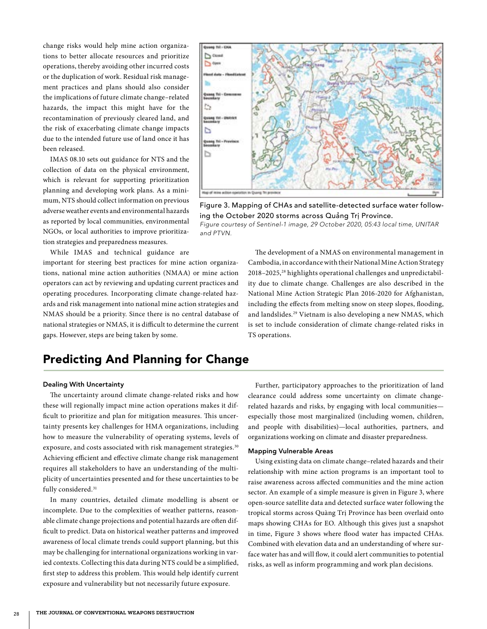change risks would help mine action organizations to better allocate resources and prioritize operations, thereby avoiding other incurred costs or the duplication of work. Residual risk management practices and plans should also consider the implications of future climate change–related hazards, the impact this might have for the recontamination of previously cleared land, and the risk of exacerbating climate change impacts due to the intended future use of land once it has been released.

IMAS 08.10 sets out guidance for NTS and the collection of data on the physical environment, which is relevant for supporting prioritization planning and developing work plans. As a minimum, NTS should collect information on previous adverse weather events and environmental hazards as reported by local communities, environmental NGOs, or local authorities to improve prioritization strategies and preparedness measures.

While IMAS and technical guidance are important for steering best practices for mine action organizations, national mine action authorities (NMAA) or mine action operators can act by reviewing and updating current practices and operating procedures. Incorporating climate change-related hazards and risk management into national mine action strategies and NMAS should be a priority. Since there is no central database of national strategies or NMAS, it is difficult to determine the current gaps. However, steps are being taken by some.



Figure 3. Mapping of CHAs and satellite-detected surface water following the October 2020 storms across Quảng Trị Province. *Figure courtesy of Sentinel-1 image, 29 October 2020, 05:43 local time, UNITAR and PTVN.*

The development of a NMAS on environmental management in Cambodia, in accordance with their National Mine Action Strategy 2018–2025,28 highlights operational challenges and unpredictability due to climate change. Challenges are also described in the National Mine Action Strategic Plan 2016-2020 for Afghanistan, including the effects from melting snow on steep slopes, flooding, and landslides.29 Vietnam is also developing a new NMAS, which is set to include consideration of climate change-related risks in TS operations.

# Predicting And Planning for Change

## Dealing With Uncertainty

The uncertainty around climate change-related risks and how these will regionally impact mine action operations makes it difficult to prioritize and plan for mitigation measures. This uncertainty presents key challenges for HMA organizations, including how to measure the vulnerability of operating systems, levels of exposure, and costs associated with risk management strategies.<sup>30</sup> Achieving efficient and effective climate change risk management requires all stakeholders to have an understanding of the multiplicity of uncertainties presented and for these uncertainties to be fully considered.<sup>31</sup>

In many countries, detailed climate modelling is absent or incomplete. Due to the complexities of weather patterns, reasonable climate change projections and potential hazards are often difficult to predict. Data on historical weather patterns and improved awareness of local climate trends could support planning, but this may be challenging for international organizations working in varied contexts. Collecting this data during NTS could be a simplified, first step to address this problem. This would help identify current exposure and vulnerability but not necessarily future exposure.

Further, participatory approaches to the prioritization of land clearance could address some uncertainty on climate changerelated hazards and risks, by engaging with local communities especially those most marginalized (including women, children, and people with disabilities)—local authorities, partners, and organizations working on climate and disaster preparedness.

### Mapping Vulnerable Areas

Using existing data on climate change–related hazards and their relationship with mine action programs is an important tool to raise awareness across affected communities and the mine action sector. An example of a simple measure is given in Figure 3, where open-source satellite data and detected surface water following the tropical storms across Quàng Trị Province has been overlaid onto maps showing CHAs for EO. Although this gives just a snapshot in time, Figure 3 shows where flood water has impacted CHAs. Combined with elevation data and an understanding of where surface water has and will flow, it could alert communities to potential risks, as well as inform programming and work plan decisions.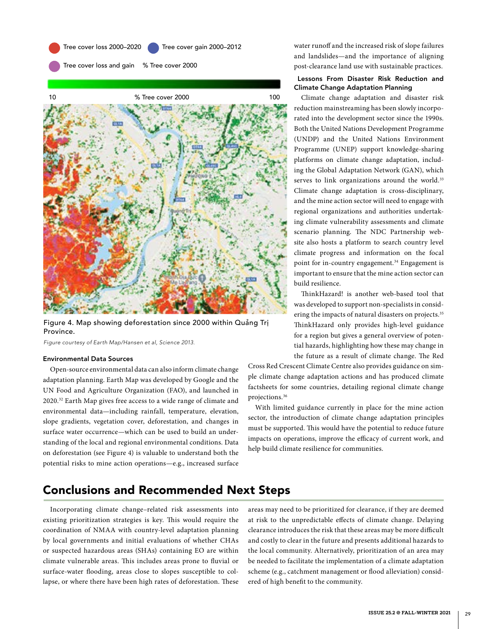

Tree cover loss and gain % Tree cover 2000



Figure 4. Map showing deforestation since 2000 within Quảng Trị Province.

*Figure courtesy of Earth Map/Hansen et al, Science 2013.*

## Environmental Data Sources

Open-source environmental data can also inform climate change adaptation planning. Earth Map was developed by Google and the UN Food and Agriculture Organization (FAO), and launched in 2020.32 Earth Map gives free access to a wide range of climate and environmental data—including rainfall, temperature, elevation, slope gradients, vegetation cover, deforestation, and changes in surface water occurrence—which can be used to build an understanding of the local and regional environmental conditions. Data on deforestation (see Figure 4) is valuable to understand both the potential risks to mine action operations—e.g., increased surface water runoff and the increased risk of slope failures and landslides—and the importance of aligning post-clearance land use with sustainable practices.

## Lessons From Disaster Risk Reduction and Climate Change Adaptation Planning

Climate change adaptation and disaster risk reduction mainstreaming has been slowly incorporated into the development sector since the 1990s. Both the United Nations Development Programme (UNDP) and the United Nations Environment Programme (UNEP) support knowledge-sharing platforms on climate change adaptation, including the Global Adaptation Network (GAN), which serves to link organizations around the world.<sup>33</sup> Climate change adaptation is cross-disciplinary, and the mine action sector will need to engage with regional organizations and authorities undertaking climate vulnerability assessments and climate scenario planning. The NDC Partnership website also hosts a platform to search country level climate progress and information on the focal point for in-country engagement.<sup>34</sup> Engagement is important to ensure that the mine action sector can build resilience.

ThinkHazard! is another web-based tool that was developed to support non-specialists in considering the impacts of natural disasters on projects.<sup>35</sup> ThinkHazard only provides high-level guidance for a region but gives a general overview of potential hazards, highlighting how these may change in the future as a result of climate change. The Red

Cross Red Crescent Climate Centre also provides guidance on simple climate change adaptation actions and has produced climate factsheets for some countries, detailing regional climate change projections.36

With limited guidance currently in place for the mine action sector, the introduction of climate change adaptation principles must be supported. This would have the potential to reduce future impacts on operations, improve the efficacy of current work, and help build climate resilience for communities.

# Conclusions and Recommended Next Steps

Incorporating climate change–related risk assessments into existing prioritization strategies is key. This would require the coordination of NMAA with country-level adaptation planning by local governments and initial evaluations of whether CHAs or suspected hazardous areas (SHAs) containing EO are within climate vulnerable areas. This includes areas prone to fluvial or surface-water flooding, areas close to slopes susceptible to collapse, or where there have been high rates of deforestation. These

areas may need to be prioritized for clearance, if they are deemed at risk to the unpredictable effects of climate change. Delaying clearance introduces the risk that these areas may be more difficult and costly to clear in the future and presents additional hazards to the local community. Alternatively, prioritization of an area may be needed to facilitate the implementation of a climate adaptation scheme (e.g., catchment management or flood alleviation) considered of high benefit to the community.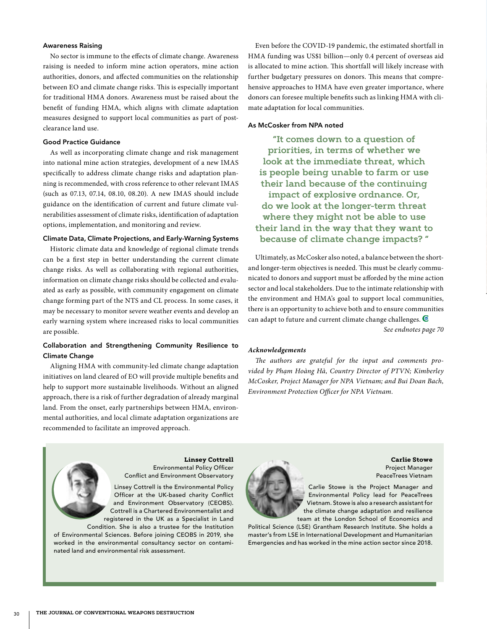#### Awareness Raising

No sector is immune to the effects of climate change. Awareness raising is needed to inform mine action operators, mine action authorities, donors, and affected communities on the relationship between EO and climate change risks. This is especially important for traditional HMA donors. Awareness must be raised about the benefit of funding HMA, which aligns with climate adaptation measures designed to support local communities as part of postclearance land use.

#### Good Practice Guidance

As well as incorporating climate change and risk management into national mine action strategies, development of a new IMAS specifically to address climate change risks and adaptation planning is recommended, with cross reference to other relevant IMAS (such as 07.13, 07.14, 08.10, 08.20). A new IMAS should include guidance on the identification of current and future climate vulnerabilities assessment of climate risks, identification of adaptation options, implementation, and monitoring and review.

#### Climate Data, Climate Projections, and Early-Warning Systems

Historic climate data and knowledge of regional climate trends can be a first step in better understanding the current climate change risks. As well as collaborating with regional authorities, information on climate change risks should be collected and evaluated as early as possible, with community engagement on climate change forming part of the NTS and CL process. In some cases, it may be necessary to monitor severe weather events and develop an early warning system where increased risks to local communities are possible.

# Collaboration and Strengthening Community Resilience to Climate Change

Aligning HMA with community-led climate change adaptation initiatives on land cleared of EO will provide multiple benefits and help to support more sustainable livelihoods. Without an aligned approach, there is a risk of further degradation of already marginal land. From the onset, early partnerships between HMA, environmental authorities, and local climate adaptation organizations are recommended to facilitate an improved approach.

Even before the COVID-19 pandemic, the estimated shortfall in HMA funding was US\$1 billion—only 0.4 percent of overseas aid is allocated to mine action. This shortfall will likely increase with further budgetary pressures on donors. This means that comprehensive approaches to HMA have even greater importance, where donors can foresee multiple benefits such as linking HMA with climate adaptation for local communities.

#### As McCosker from NPA noted

**"It comes down to a question of priorities, in terms of whether we look at the immediate threat, which is people being unable to farm or use their land because of the continuing impact of explosive ordnance. Or, do we look at the longer-term threat where they might not be able to use their land in the way that they want to because of climate change impacts? "**

Ultimately, as McCosker also noted, a balance between the shortand longer-term objectives is needed. This must be clearly communicated to donors and support must be afforded by the mine action sector and local stakeholders. Due to the intimate relationship with the environment and HMA's goal to support local communities, there is an opportunity to achieve both and to ensure communities can adapt to future and current climate change challenges.  $\blacksquare$ *See endnotes page 70*

# *Acknowledgements*

*The authors are grateful for the input and comments provided by Phạm Hoàng Hà, Country Director of PTVN; Kimberley McCosker, Project Manager for NPA Vietnam; and Bui Doan Bach, Environment Protection Officer for NPA Vietnam.*



**Linsey Cottrell**  Environmental Policy Officer Conflict and Environment Observatory

Linsey Cottrell is the Environmental Policy Officer at the UK-based charity Conflict and Environment Observatory (CEOBS). Cottrell is a Chartered Environmentalist and registered in the UK as a Specialist in Land

Condition. She is also a trustee for the Institution of Environmental Sciences. Before joining CEOBS in 2019, she worked in the environmental consultancy sector on contaminated land and environmental risk assessment.



**Carlie Stowe** Project Manager PeaceTrees Vietnam

Carlie Stowe is the Project Manager and Environmental Policy lead for PeaceTrees Vietnam. Stowe is also a research assistant for the climate change adaptation and resilience team at the London School of Economics and

Political Science (LSE) Grantham Research Institute. She holds a master's from LSE in International Development and Humanitarian Emergencies and has worked in the mine action sector since 2018.